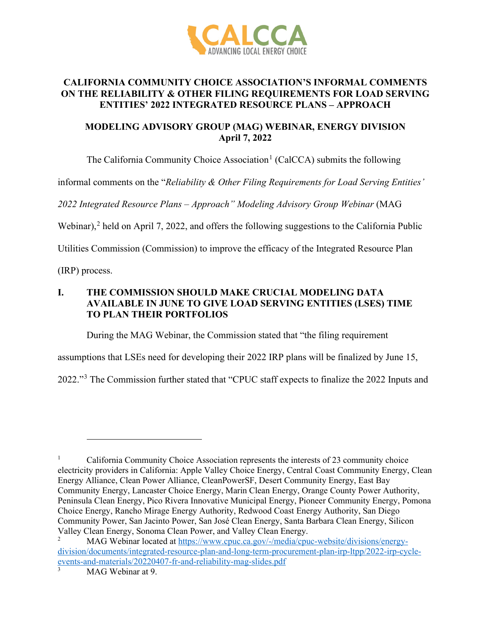

## **CALIFORNIA COMMUNITY CHOICE ASSOCIATION'S INFORMAL COMMENTS ON THE RELIABILITY & OTHER FILING REQUIREMENTS FOR LOAD SERVING ENTITIES' 2022 INTEGRATED RESOURCE PLANS – APPROACH**

## **MODELING ADVISORY GROUP (MAG) WEBINAR, ENERGY DIVISION April 7, 2022**

The California Community Choice Association<sup>[1](#page-0-0)</sup> (CalCCA) submits the following

informal comments on the "*Reliability & Other Filing Requirements for Load Serving Entities'* 

*2022 Integrated Resource Plans – Approach" Modeling Advisory Group Webinar* (MAG

Webinar),<sup>[2](#page-0-1)</sup> held on April 7, 2022, and offers the following suggestions to the California Public

Utilities Commission (Commission) to improve the efficacy of the Integrated Resource Plan

(IRP) process.

# **I. THE COMMISSION SHOULD MAKE CRUCIAL MODELING DATA AVAILABLE IN JUNE TO GIVE LOAD SERVING ENTITIES (LSES) TIME TO PLAN THEIR PORTFOLIOS**

During the MAG Webinar, the Commission stated that "the filing requirement

assumptions that LSEs need for developing their 2022 IRP plans will be finalized by June 15,

2022."[3](#page-0-2) The Commission further stated that "CPUC staff expects to finalize the 2022 Inputs and

<span id="page-0-0"></span><sup>1</sup> California Community Choice Association represents the interests of 23 community choice electricity providers in California: Apple Valley Choice Energy, Central Coast Community Energy, Clean Energy Alliance, Clean Power Alliance, CleanPowerSF, Desert Community Energy, East Bay Community Energy, Lancaster Choice Energy, Marin Clean Energy, Orange County Power Authority, Peninsula Clean Energy, Pico Rivera Innovative Municipal Energy, Pioneer Community Energy, Pomona Choice Energy, Rancho Mirage Energy Authority, Redwood Coast Energy Authority, San Diego Community Power, San Jacinto Power, San José Clean Energy, Santa Barbara Clean Energy, Silicon Valley Clean Energy, Sonoma Clean Power, and Valley Clean Energy.

<span id="page-0-1"></span><sup>2</sup> MAG Webinar located at [https://www.cpuc.ca.gov/-/media/cpuc-website/divisions/energy](https://www.cpuc.ca.gov/-/media/cpuc-website/divisions/energy-division/documents/integrated-resource-plan-and-long-term-procurement-plan-irp-ltpp/2022-irp-cycle-events-and-materials/20220407-fr-and-reliability-mag-slides.pdf)[division/documents/integrated-resource-plan-and-long-term-procurement-plan-irp-ltpp/2022-irp-cycle](https://www.cpuc.ca.gov/-/media/cpuc-website/divisions/energy-division/documents/integrated-resource-plan-and-long-term-procurement-plan-irp-ltpp/2022-irp-cycle-events-and-materials/20220407-fr-and-reliability-mag-slides.pdf)[events-and-materials/20220407-fr-and-reliability-mag-slides.pdf](https://www.cpuc.ca.gov/-/media/cpuc-website/divisions/energy-division/documents/integrated-resource-plan-and-long-term-procurement-plan-irp-ltpp/2022-irp-cycle-events-and-materials/20220407-fr-and-reliability-mag-slides.pdf)

<span id="page-0-2"></span><sup>3</sup> MAG Webinar at 9.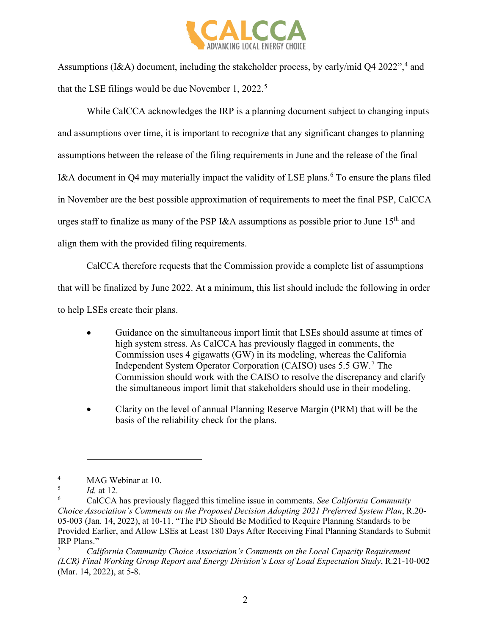

Assumptions (I&A) document, including the stakeholder process, by early/mid Q[4](#page-1-0) 2022",<sup>4</sup> and that the LSE filings would be due November 1, 2022.<sup>[5](#page-1-1)</sup>

While CalCCA acknowledges the IRP is a planning document subject to changing inputs and assumptions over time, it is important to recognize that any significant changes to planning assumptions between the release of the filing requirements in June and the release of the final I&A document in Q4 may materially impact the validity of LSE plans.<sup>[6](#page-1-2)</sup> To ensure the plans filed in November are the best possible approximation of requirements to meet the final PSP, CalCCA urges staff to finalize as many of the PSP I&A assumptions as possible prior to June  $15<sup>th</sup>$  and align them with the provided filing requirements.

CalCCA therefore requests that the Commission provide a complete list of assumptions that will be finalized by June 2022. At a minimum, this list should include the following in order to help LSEs create their plans.

- Guidance on the simultaneous import limit that LSEs should assume at times of high system stress. As CalCCA has previously flagged in comments, the Commission uses 4 gigawatts (GW) in its modeling, whereas the California Independent System Operator Corporation (CAISO) uses 5.5 GW.[7](#page-1-3) The Commission should work with the CAISO to resolve the discrepancy and clarify the simultaneous import limit that stakeholders should use in their modeling.
- Clarity on the level of annual Planning Reserve Margin (PRM) that will be the basis of the reliability check for the plans.

<span id="page-1-0"></span><sup>4</sup> MAG Webinar at 10.

<span id="page-1-1"></span><sup>5</sup> *Id.* at 12.

<span id="page-1-2"></span><sup>6</sup> CalCCA has previously flagged this timeline issue in comments. *See California Community Choice Association's Comments on the Proposed Decision Adopting 2021 Preferred System Plan*, R.20- 05-003 (Jan. 14, 2022), at 10-11. "The PD Should Be Modified to Require Planning Standards to be Provided Earlier, and Allow LSEs at Least 180 Days After Receiving Final Planning Standards to Submit IRP Plans."

<span id="page-1-3"></span><sup>7</sup> *California Community Choice Association's Comments on the Local Capacity Requirement (LCR) Final Working Group Report and Energy Division's Loss of Load Expectation Study*, R.21-10-002 (Mar. 14, 2022), at 5-8.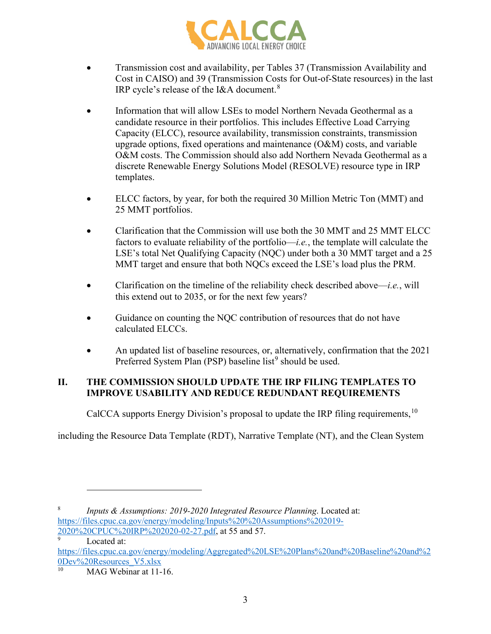

- Transmission cost and availability, per Tables 37 (Transmission Availability and Cost in CAISO) and 39 (Transmission Costs for Out-of-State resources) in the last IRP cycle's release of the I&A document.<sup>[8](#page-2-0)</sup>
- Information that will allow LSEs to model Northern Nevada Geothermal as a candidate resource in their portfolios. This includes Effective Load Carrying Capacity (ELCC), resource availability, transmission constraints, transmission upgrade options, fixed operations and maintenance  $(O&M)$  costs, and variable O&M costs. The Commission should also add Northern Nevada Geothermal as a discrete Renewable Energy Solutions Model (RESOLVE) resource type in IRP templates.
- ELCC factors, by year, for both the required 30 Million Metric Ton (MMT) and 25 MMT portfolios.
- Clarification that the Commission will use both the 30 MMT and 25 MMT ELCC factors to evaluate reliability of the portfolio—*i.e.*, the template will calculate the LSE's total Net Qualifying Capacity (NQC) under both a 30 MMT target and a 25 MMT target and ensure that both NQCs exceed the LSE's load plus the PRM.
- Clarification on the timeline of the reliability check described above—*i.e.*, will this extend out to 2035, or for the next few years?
- Guidance on counting the NQC contribution of resources that do not have calculated ELCCs.
- An updated list of baseline resources, or, alternatively, confirmation that the 2021 Preferred System Plan (PSP) baseline list<sup>[9](#page-2-1)</sup> should be used.

# **II. THE COMMISSION SHOULD UPDATE THE IRP FILING TEMPLATES TO IMPROVE USABILITY AND REDUCE REDUNDANT REQUIREMENTS**

CalCCA supports Energy Division's proposal to update the IRP filing requirements, <sup>[10](#page-2-2)</sup>

including the Resource Data Template (RDT), Narrative Template (NT), and the Clean System

9

<span id="page-2-0"></span><sup>8</sup> *Inputs & Assumptions: 2019-2020 Integrated Resource Planning*. Located at: [https://files.cpuc.ca.gov/energy/modeling/Inputs%20%20Assumptions%202019-](https://files.cpuc.ca.gov/energy/modeling/Inputs%20%20Assumptions%202019-2020%20CPUC%20IRP%202020-02-27.pdf) [2020%20CPUC%20IRP%202020-02-27.pdf,](https://files.cpuc.ca.gov/energy/modeling/Inputs%20%20Assumptions%202019-2020%20CPUC%20IRP%202020-02-27.pdf) at 55 and 57.

Located at:

<span id="page-2-1"></span>[https://files.cpuc.ca.gov/energy/modeling/Aggregated%20LSE%20Plans%20and%20Baseline%20and%2](https://files.cpuc.ca.gov/energy/modeling/Aggregated%20LSE%20Plans%20and%20Baseline%20and%20Dev%20Resources_V5.xlsx)  $\underbrace{0Dev\%20 Resources/V5.xlx}_{10}$ 

<span id="page-2-2"></span>MAG Webinar at 11-16.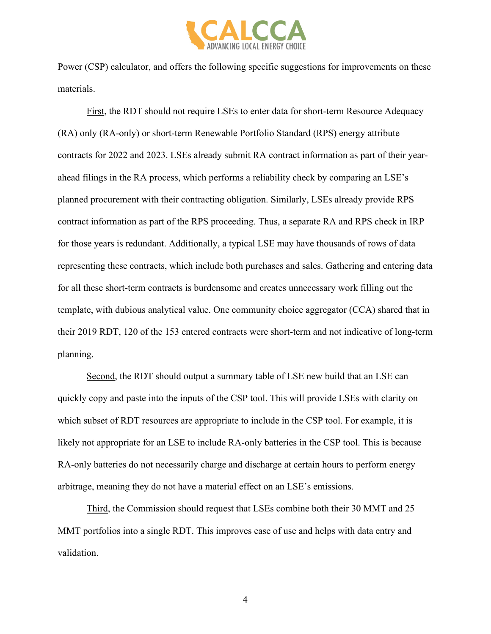

Power (CSP) calculator, and offers the following specific suggestions for improvements on these materials.

First, the RDT should not require LSEs to enter data for short-term Resource Adequacy (RA) only (RA-only) or short-term Renewable Portfolio Standard (RPS) energy attribute contracts for 2022 and 2023. LSEs already submit RA contract information as part of their yearahead filings in the RA process, which performs a reliability check by comparing an LSE's planned procurement with their contracting obligation. Similarly, LSEs already provide RPS contract information as part of the RPS proceeding. Thus, a separate RA and RPS check in IRP for those years is redundant. Additionally, a typical LSE may have thousands of rows of data representing these contracts, which include both purchases and sales. Gathering and entering data for all these short-term contracts is burdensome and creates unnecessary work filling out the template, with dubious analytical value. One community choice aggregator (CCA) shared that in their 2019 RDT, 120 of the 153 entered contracts were short-term and not indicative of long-term planning.

Second, the RDT should output a summary table of LSE new build that an LSE can quickly copy and paste into the inputs of the CSP tool. This will provide LSEs with clarity on which subset of RDT resources are appropriate to include in the CSP tool. For example, it is likely not appropriate for an LSE to include RA-only batteries in the CSP tool. This is because RA-only batteries do not necessarily charge and discharge at certain hours to perform energy arbitrage, meaning they do not have a material effect on an LSE's emissions.

Third, the Commission should request that LSEs combine both their 30 MMT and 25 MMT portfolios into a single RDT. This improves ease of use and helps with data entry and validation.

4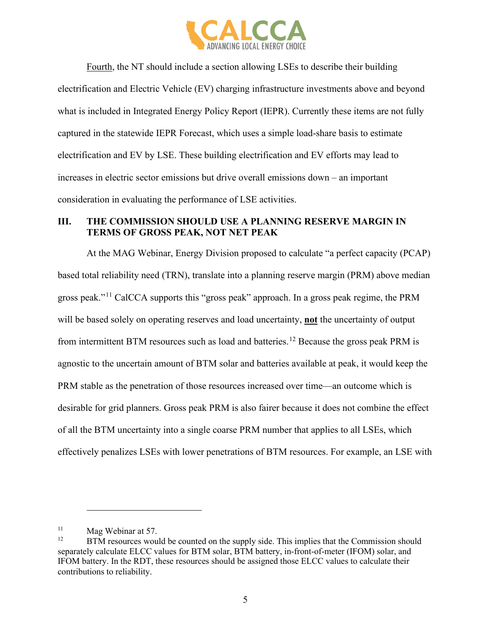

Fourth, the NT should include a section allowing LSEs to describe their building electrification and Electric Vehicle (EV) charging infrastructure investments above and beyond what is included in Integrated Energy Policy Report (IEPR). Currently these items are not fully captured in the statewide IEPR Forecast, which uses a simple load-share basis to estimate electrification and EV by LSE. These building electrification and EV efforts may lead to increases in electric sector emissions but drive overall emissions down – an important consideration in evaluating the performance of LSE activities.

# **III. THE COMMISSION SHOULD USE A PLANNING RESERVE MARGIN IN TERMS OF GROSS PEAK, NOT NET PEAK**

At the MAG Webinar, Energy Division proposed to calculate "a perfect capacity (PCAP) based total reliability need (TRN), translate into a planning reserve margin (PRM) above median gross peak."[11](#page-4-0) CalCCA supports this "gross peak" approach. In a gross peak regime, the PRM will be based solely on operating reserves and load uncertainty, **not** the uncertainty of output from intermittent BTM resources such as load and batteries.[12](#page-4-1) Because the gross peak PRM is agnostic to the uncertain amount of BTM solar and batteries available at peak, it would keep the PRM stable as the penetration of those resources increased over time—an outcome which is desirable for grid planners. Gross peak PRM is also fairer because it does not combine the effect of all the BTM uncertainty into a single coarse PRM number that applies to all LSEs, which effectively penalizes LSEs with lower penetrations of BTM resources. For example, an LSE with

<span id="page-4-0"></span> $11$  Mag Webinar at 57.

<span id="page-4-1"></span>BTM resources would be counted on the supply side. This implies that the Commission should separately calculate ELCC values for BTM solar, BTM battery, in-front-of-meter (IFOM) solar, and IFOM battery. In the RDT, these resources should be assigned those ELCC values to calculate their contributions to reliability.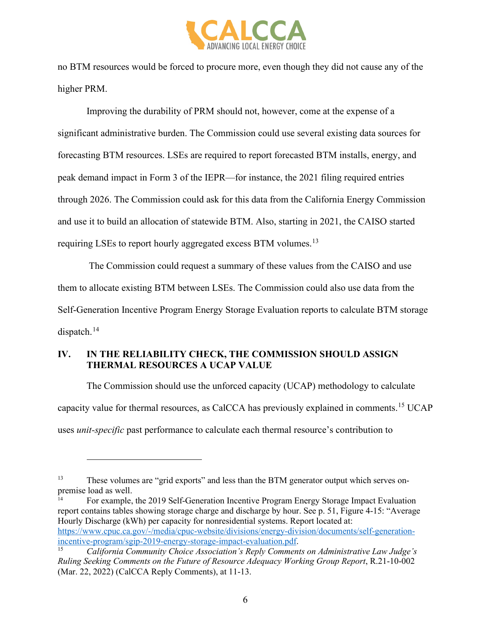

no BTM resources would be forced to procure more, even though they did not cause any of the higher PRM.

Improving the durability of PRM should not, however, come at the expense of a significant administrative burden. The Commission could use several existing data sources for forecasting BTM resources. LSEs are required to report forecasted BTM installs, energy, and peak demand impact in Form 3 of the IEPR—for instance, the 2021 filing required entries through 2026. The Commission could ask for this data from the California Energy Commission and use it to build an allocation of statewide BTM. Also, starting in 2021, the CAISO started requiring LSEs to report hourly aggregated excess BTM volumes.<sup>[13](#page-5-0)</sup>

 The Commission could request a summary of these values from the CAISO and use them to allocate existing BTM between LSEs. The Commission could also use data from the Self-Generation Incentive Program Energy Storage Evaluation reports to calculate BTM storage dispatch. [14](#page-5-1)

#### **IV. IN THE RELIABILITY CHECK, THE COMMISSION SHOULD ASSIGN THERMAL RESOURCES A UCAP VALUE**

The Commission should use the unforced capacity (UCAP) methodology to calculate capacity value for thermal resources, as CalCCA has previously explained in comments.[15](#page-5-2) UCAP uses *unit-specific* past performance to calculate each thermal resource's contribution to

<span id="page-5-1"></span>report contains tables showing storage charge and discharge by hour. See p. 51, Figure 4-15: "Average Hourly Discharge (kWh) per capacity for nonresidential systems. Report located at: [https://www.cpuc.ca.gov/-/media/cpuc-website/divisions/energy-division/documents/self-generation](https://www.cpuc.ca.gov/-/media/cpuc-website/divisions/energy-division/documents/self-generation-incentive-program/sgip-2019-energy-storage-impact-evaluation.pdf)[incentive-program/sgip-2019-energy-storage-impact-evaluation.pdf.](https://www.cpuc.ca.gov/-/media/cpuc-website/divisions/energy-division/documents/self-generation-incentive-program/sgip-2019-energy-storage-impact-evaluation.pdf) 15 *California Community Choice Association's Reply Comments on Administrative Law Judge's* 

<span id="page-5-0"></span><sup>13</sup> These volumes are "grid exports" and less than the BTM generator output which serves onpremise load as well.<br><sup>14</sup> For example, the 2019 Self-Generation Incentive Program Energy Storage Impact Evaluation

<span id="page-5-2"></span>*Ruling Seeking Comments on the Future of Resource Adequacy Working Group Report*, R.21-10-002 (Mar. 22, 2022) (CalCCA Reply Comments), at 11-13.